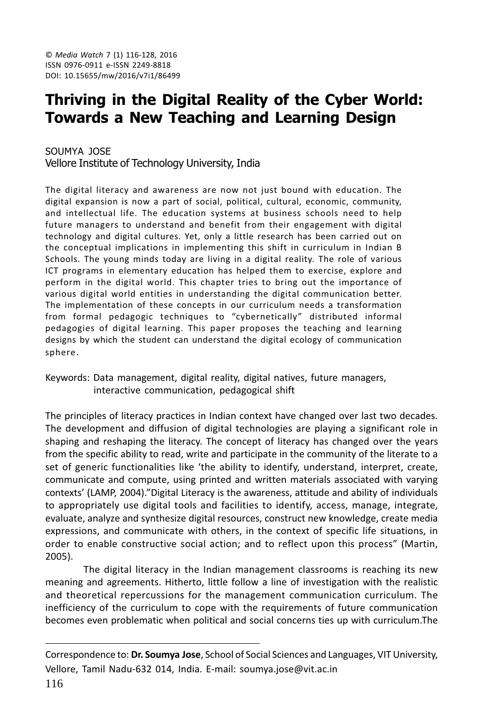# Thriving in the Digital Reality of the Cyber World: **Towards a New Teaching and Learning Design**

SOUMYA JOSE Vellore Institute of Technology University, India

The digital literacy and awareness are now not just bound with education. The digital expansion is now a part of social, political, cultural, economic, community, and intellectual life. The education systems at business schools need to help future managers to understand and benefit from their engagement with digital technology and digital cultures. Yet, only a little research has been carried out on the conceptual implications in implementing this shift in curriculum in Indian B Schools. The young minds today are living in a digital reality. The role of various ICT programs in elementary education has helped them to exercise, explore and perform in the digital world. This chapter tries to bring out the importance of various digital world entities in understanding the digital communication better. The implementation of these concepts in our curriculum needs a transformation from formal pedagogic techniques to "cybernetically" distributed informal pedagogies of digital learning. This paper proposes the teaching and learning designs by which the student can understand the digital ecology of communication sphere.

Keywords: Data management, digital reality, digital natives, future managers, interactive communication, pedagogical shift

The principles of literacy practices in Indian context have changed over last two decades. The development and diffusion of digital technologies are playing a significant role in shaping and reshaping the literacy. The concept of literacy has changed over the years from the specific ability to read, write and participate in the community of the literate to a set of generic functionalities like 'the ability to identify, understand, interpret, create, communicate and compute, using printed and written materials associated with varying contexts' (LAMP, 2004)."Digital Literacy is the awareness, attitude and ability of individuals to appropriately use digital tools and facilities to identify, access, manage, integrate, evaluate, analyze and synthesize digital resources, construct new knowledge, create media expressions, and communicate with others, in the context of specific life situations, in order to enable constructive social action; and to reflect upon this process" (Martin, 2005).

The digital literacy in the Indian management classrooms is reaching its new meaning and agreements. Hitherto, little follow a line of investigation with the realistic and theoretical repercussions for the management communication curriculum. The inefficiency of the curriculum to cope with the requirements of future communication becomes even problematic when political and social concerns ties up with curriculum. The

Correspondence to: Dr. Soumya Jose, School of Social Sciences and Languages, VIT University, Vellore, Tamil Nadu-632 014, India. E-mail: soumya.jose@vit.ac.in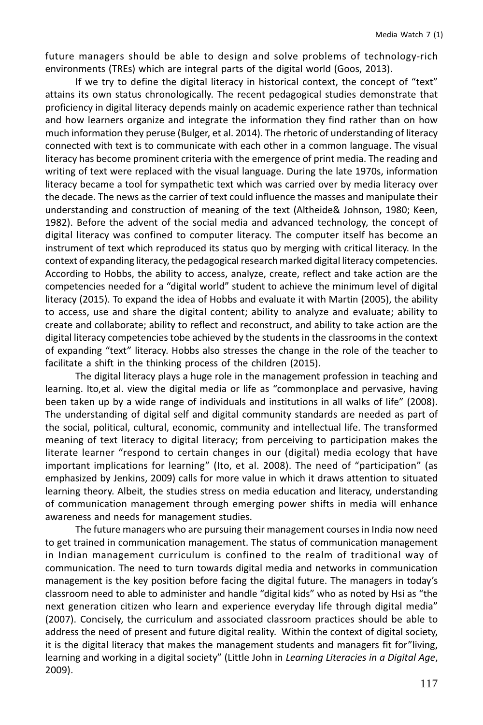future managers should be able to design and solve problems of technology-rich environments (TREs) which are integral parts of the digital world (Goos, 2013).

If we try to define the digital literacy in historical context, the concept of "text" attains its own status chronologically. The recent pedagogical studies demonstrate that proficiency in digital literacy depends mainly on academic experience rather than technical and how learners organize and integrate the information they find rather than on how much information they peruse (Bulger, et al. 2014). The rhetoric of understanding of literacy connected with text is to communicate with each other in a common language. The visual literacy has become prominent criteria with the emergence of print media. The reading and writing of text were replaced with the visual language. During the late 1970s, information literacy became a tool for sympathetic text which was carried over by media literacy over the decade. The news as the carrier of text could influence the masses and manipulate their understanding and construction of meaning of the text (Altheide& Johnson, 1980; Keen, 1982). Before the advent of the social media and advanced technology, the concept of digital literacy was confined to computer literacy. The computer itself has become an instrument of text which reproduced its status quo by merging with critical literacy. In the context of expanding literacy, the pedagogical research marked digital literacy competencies. According to Hobbs, the ability to access, analyze, create, reflect and take action are the competencies needed for a "digital world" student to achieve the minimum level of digital literacy (2015). To expand the idea of Hobbs and evaluate it with Martin (2005), the ability to access, use and share the digital content; ability to analyze and evaluate; ability to create and collaborate; ability to reflect and reconstruct, and ability to take action are the digital literacy competencies tobe achieved by the students in the classrooms in the context of expanding "text" literacy. Hobbs also stresses the change in the role of the teacher to facilitate a shift in the thinking process of the children (2015).

The digital literacy plays a huge role in the management profession in teaching and learning. Ito, et al. view the digital media or life as "commonplace and pervasive, having been taken up by a wide range of individuals and institutions in all walks of life" (2008). The understanding of digital self and digital community standards are needed as part of the social, political, cultural, economic, community and intellectual life. The transformed meaning of text literacy to digital literacy; from perceiving to participation makes the literate learner "respond to certain changes in our (digital) media ecology that have important implications for learning" (Ito, et al. 2008). The need of "participation" (as emphasized by Jenkins, 2009) calls for more value in which it draws attention to situated learning theory. Albeit, the studies stress on media education and literacy, understanding of communication management through emerging power shifts in media will enhance awareness and needs for management studies.

The future managers who are pursuing their management courses in India now need to get trained in communication management. The status of communication management in Indian management curriculum is confined to the realm of traditional way of communication. The need to turn towards digital media and networks in communication management is the key position before facing the digital future. The managers in today's classroom need to able to administer and handle "digital kids" who as noted by Hsi as "the next generation citizen who learn and experience everyday life through digital media" (2007). Concisely, the curriculum and associated classroom practices should be able to address the need of present and future digital reality. Within the context of digital society, it is the digital literacy that makes the management students and managers fit for"living, learning and working in a digital society" (Little John in Learning Literacies in a Digital Age, 2009).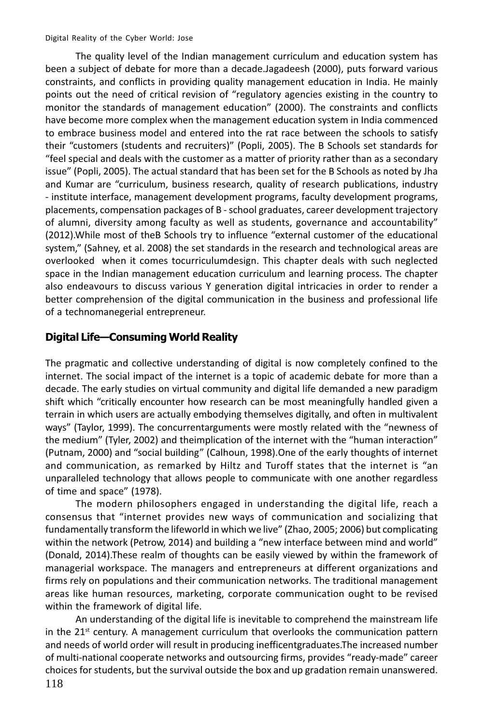The quality level of the Indian management curriculum and education system has been a subject of debate for more than a decade. Jagadeesh (2000), puts forward various constraints, and conflicts in providing quality management education in India. He mainly points out the need of critical revision of "regulatory agencies existing in the country to monitor the standards of management education" (2000). The constraints and conflicts have become more complex when the management education system in India commenced to embrace business model and entered into the rat race between the schools to satisfy their "customers (students and recruiters)" (Popli, 2005). The B Schools set standards for "feel special and deals with the customer as a matter of priority rather than as a secondary issue" (Popli, 2005). The actual standard that has been set for the B Schools as noted by Jha and Kumar are "curriculum, business research, quality of research publications, industry - institute interface, management development programs, faculty development programs, placements, compensation packages of B - school graduates, career development trajectory of alumni, diversity among faculty as well as students, governance and accountability" (2012). While most of the B Schools try to influence "external customer of the educational system," (Sahney, et al. 2008) the set standards in the research and technological areas are overlooked when it comes tocurriculumdesign. This chapter deals with such neglected space in the Indian management education curriculum and learning process. The chapter also endeavours to discuss various Y generation digital intricacies in order to render a better comprehension of the digital communication in the business and professional life of a technomanegerial entrepreneur.

#### Digital Life-Consuming World Reality

The pragmatic and collective understanding of digital is now completely confined to the internet. The social impact of the internet is a topic of academic debate for more than a decade. The early studies on virtual community and digital life demanded a new paradigm shift which "critically encounter how research can be most meaningfully handled given a terrain in which users are actually embodying themselves digitally, and often in multivalent ways" (Taylor, 1999). The concurrentarguments were mostly related with the "newness of the medium" (Tyler, 2002) and theimplication of the internet with the "human interaction" (Putnam, 2000) and "social building" (Calhoun, 1998). One of the early thoughts of internet and communication, as remarked by Hiltz and Turoff states that the internet is "an unparalleled technology that allows people to communicate with one another regardless of time and space" (1978).

The modern philosophers engaged in understanding the digital life, reach a consensus that "internet provides new ways of communication and socializing that fundamentally transform the lifeworld in which we live" (Zhao, 2005; 2006) but complicating within the network (Petrow, 2014) and building a "new interface between mind and world" (Donald, 2014). These realm of thoughts can be easily viewed by within the framework of managerial workspace. The managers and entrepreneurs at different organizations and firms rely on populations and their communication networks. The traditional management areas like human resources, marketing, corporate communication ought to be revised within the framework of digital life.

An understanding of the digital life is inevitable to comprehend the mainstream life in the  $21<sup>st</sup>$  century. A management curriculum that overlooks the communication pattern and needs of world order will result in producing inefficentgraduates. The increased number of multi-national cooperate networks and outsourcing firms, provides "ready-made" career choices for students, but the survival outside the box and up gradation remain unanswered.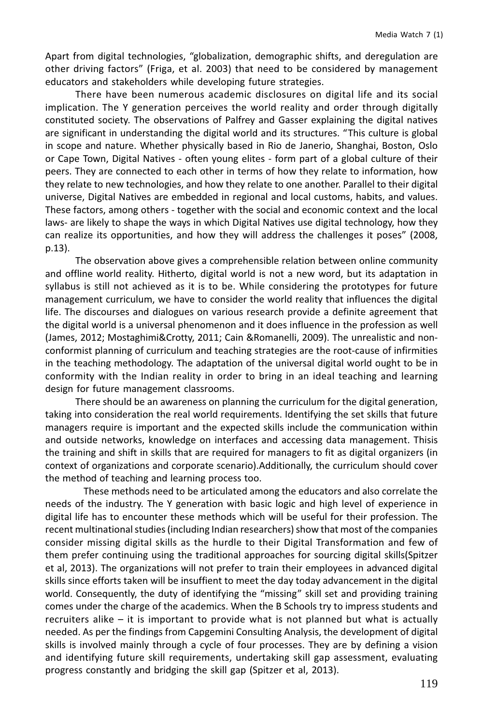Apart from digital technologies, "globalization, demographic shifts, and deregulation are other driving factors" (Friga, et al. 2003) that need to be considered by management educators and stakeholders while developing future strategies.

There have been numerous academic disclosures on digital life and its social implication. The Y generation perceives the world reality and order through digitally constituted society. The observations of Palfrey and Gasser explaining the digital natives are significant in understanding the digital world and its structures. "This culture is global in scope and nature. Whether physically based in Rio de Janerio, Shanghai, Boston, Oslo or Cape Town, Digital Natives - often young elites - form part of a global culture of their peers. They are connected to each other in terms of how they relate to information, how they relate to new technologies, and how they relate to one another. Parallel to their digital universe, Digital Natives are embedded in regional and local customs, habits, and values. These factors, among others - together with the social and economic context and the local laws- are likely to shape the ways in which Digital Natives use digital technology, how they can realize its opportunities, and how they will address the challenges it poses" (2008,  $p.13$ ).

The observation above gives a comprehensible relation between online community and offline world reality. Hitherto, digital world is not a new word, but its adaptation in syllabus is still not achieved as it is to be. While considering the prototypes for future management curriculum, we have to consider the world reality that influences the digital life. The discourses and dialogues on various research provide a definite agreement that the digital world is a universal phenomenon and it does influence in the profession as well (James, 2012; Mostaghimi&Crotty, 2011; Cain &Romanelli, 2009). The unrealistic and nonconformist planning of curriculum and teaching strategies are the root-cause of infirmities in the teaching methodology. The adaptation of the universal digital world ought to be in conformity with the Indian reality in order to bring in an ideal teaching and learning design for future management classrooms.

There should be an awareness on planning the curriculum for the digital generation, taking into consideration the real world requirements. Identifying the set skills that future managers require is important and the expected skills include the communication within and outside networks, knowledge on interfaces and accessing data management. Thisis the training and shift in skills that are required for managers to fit as digital organizers (in context of organizations and corporate scenario). Additionally, the curriculum should cover the method of teaching and learning process too.

These methods need to be articulated among the educators and also correlate the needs of the industry. The Y generation with basic logic and high level of experience in digital life has to encounter these methods which will be useful for their profession. The recent multinational studies (including Indian researchers) show that most of the companies consider missing digital skills as the hurdle to their Digital Transformation and few of them prefer continuing using the traditional approaches for sourcing digital skills (Spitzer et al, 2013). The organizations will not prefer to train their employees in advanced digital skills since efforts taken will be insuffient to meet the day today advancement in the digital world. Consequently, the duty of identifying the "missing" skill set and providing training comes under the charge of the academics. When the B Schools try to impress students and recruiters alike – it is important to provide what is not planned but what is actually needed. As per the findings from Capgemini Consulting Analysis, the development of digital skills is involved mainly through a cycle of four processes. They are by defining a vision and identifying future skill requirements, undertaking skill gap assessment, evaluating progress constantly and bridging the skill gap (Spitzer et al, 2013).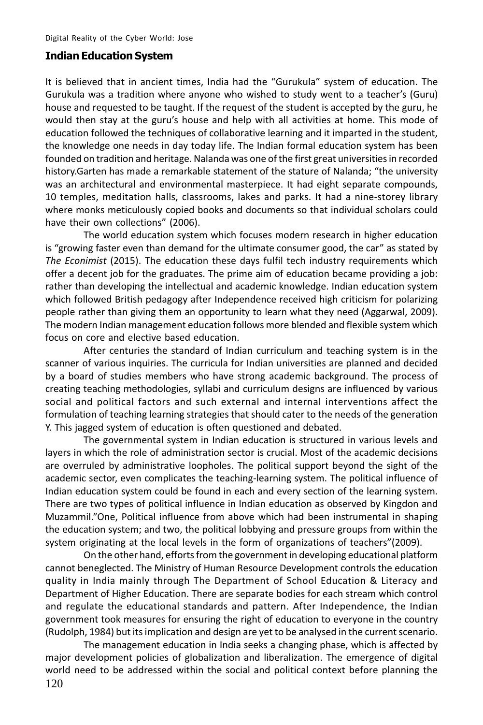#### **Indian Education System**

It is believed that in ancient times, India had the "Gurukula" system of education. The Gurukula was a tradition where anyone who wished to study went to a teacher's (Guru) house and requested to be taught. If the request of the student is accepted by the guru, he would then stay at the guru's house and help with all activities at home. This mode of education followed the techniques of collaborative learning and it imparted in the student, the knowledge one needs in day today life. The Indian formal education system has been founded on tradition and heritage. Nalanda was one of the first great universities in recorded history. Garten has made a remarkable statement of the stature of Nalanda; "the university was an architectural and environmental masterpiece. It had eight separate compounds, 10 temples, meditation halls, classrooms, lakes and parks. It had a nine-storey library where monks meticulously copied books and documents so that individual scholars could have their own collections" (2006).

The world education system which focuses modern research in higher education is "growing faster even than demand for the ultimate consumer good, the car" as stated by The Econimist (2015). The education these days fulfil tech industry requirements which offer a decent job for the graduates. The prime aim of education became providing a job: rather than developing the intellectual and academic knowledge. Indian education system which followed British pedagogy after Independence received high criticism for polarizing people rather than giving them an opportunity to learn what they need (Aggarwal, 2009). The modern Indian management education follows more blended and flexible system which focus on core and elective based education.

After centuries the standard of Indian curriculum and teaching system is in the scanner of various inquiries. The curricula for Indian universities are planned and decided by a board of studies members who have strong academic background. The process of creating teaching methodologies, syllabi and curriculum designs are influenced by various social and political factors and such external and internal interventions affect the formulation of teaching learning strategies that should cater to the needs of the generation Y. This jagged system of education is often questioned and debated.

The governmental system in Indian education is structured in various levels and layers in which the role of administration sector is crucial. Most of the academic decisions are overruled by administrative loopholes. The political support beyond the sight of the academic sector, even complicates the teaching-learning system. The political influence of Indian education system could be found in each and every section of the learning system. There are two types of political influence in Indian education as observed by Kingdon and Muzammil."One, Political influence from above which had been instrumental in shaping the education system; and two, the political lobbying and pressure groups from within the system originating at the local levels in the form of organizations of teachers"(2009).

On the other hand, efforts from the government in developing educational platform cannot beneglected. The Ministry of Human Resource Development controls the education quality in India mainly through The Department of School Education & Literacy and Department of Higher Education. There are separate bodies for each stream which control and regulate the educational standards and pattern. After Independence, the Indian government took measures for ensuring the right of education to everyone in the country (Rudolph, 1984) but its implication and design are yet to be analysed in the current scenario.

The management education in India seeks a changing phase, which is affected by major development policies of globalization and liberalization. The emergence of digital world need to be addressed within the social and political context before planning the 120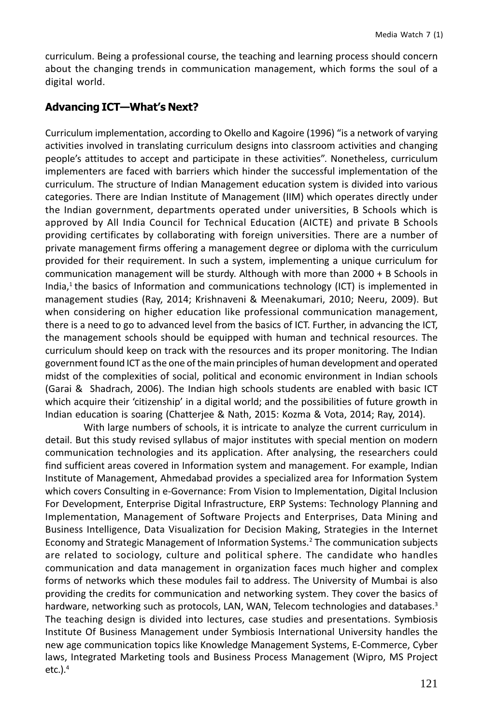curriculum. Being a professional course, the teaching and learning process should concern about the changing trends in communication management, which forms the soul of a digital world.

### **Advancing ICT-What's Next?**

Curriculum implementation, according to Okello and Kagoire (1996) "is a network of varying activities involved in translating curriculum designs into classroom activities and changing people's attitudes to accept and participate in these activities". Nonetheless, curriculum implementers are faced with barriers which hinder the successful implementation of the curriculum. The structure of Indian Management education system is divided into various categories. There are Indian Institute of Management (IIM) which operates directly under the Indian government, departments operated under universities, B Schools which is approved by All India Council for Technical Education (AICTE) and private B Schools providing certificates by collaborating with foreign universities. There are a number of private management firms offering a management degree or diploma with the curriculum provided for their requirement. In such a system, implementing a unique curriculum for communication management will be sturdy. Although with more than 2000 + B Schools in India,<sup>1</sup> the basics of Information and communications technology (ICT) is implemented in management studies (Ray, 2014; Krishnaveni & Meenakumari, 2010; Neeru, 2009). But when considering on higher education like professional communication management, there is a need to go to advanced level from the basics of ICT. Further, in advancing the ICT, the management schools should be equipped with human and technical resources. The curriculum should keep on track with the resources and its proper monitoring. The Indian government found ICT as the one of the main principles of human development and operated midst of the complexities of social, political and economic environment in Indian schools (Garai & Shadrach, 2006). The Indian high schools students are enabled with basic ICT which acquire their 'citizenship' in a digital world; and the possibilities of future growth in Indian education is soaring (Chatterjee & Nath, 2015: Kozma & Vota, 2014; Ray, 2014).

With large numbers of schools, it is intricate to analyze the current curriculum in detail. But this study revised syllabus of major institutes with special mention on modern communication technologies and its application. After analysing, the researchers could find sufficient areas covered in Information system and management. For example, Indian Institute of Management, Ahmedabad provides a specialized area for Information System which covers Consulting in e-Governance: From Vision to Implementation, Digital Inclusion For Development, Enterprise Digital Infrastructure, ERP Systems: Technology Planning and Implementation, Management of Software Projects and Enterprises, Data Mining and Business Intelligence, Data Visualization for Decision Making, Strategies in the Internet Economy and Strategic Management of Information Systems.<sup>2</sup> The communication subjects are related to sociology, culture and political sphere. The candidate who handles communication and data management in organization faces much higher and complex forms of networks which these modules fail to address. The University of Mumbai is also providing the credits for communication and networking system. They cover the basics of hardware, networking such as protocols, LAN, WAN, Telecom technologies and databases.<sup>3</sup> The teaching design is divided into lectures, case studies and presentations. Symbiosis Institute Of Business Management under Symbiosis International University handles the new age communication topics like Knowledge Management Systems, E-Commerce, Cyber laws, Integrated Marketing tools and Business Process Management (Wipro, MS Project  $etc.$ ). $4$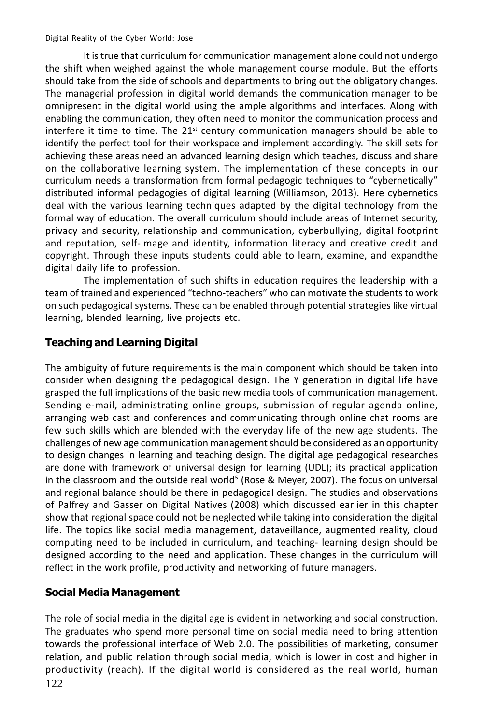It is true that curriculum for communication management alone could not undergo the shift when weighed against the whole management course module. But the efforts should take from the side of schools and departments to bring out the obligatory changes. The managerial profession in digital world demands the communication manager to be omnipresent in the digital world using the ample algorithms and interfaces. Along with enabling the communication, they often need to monitor the communication process and interfere it time to time. The 21<sup>st</sup> century communication managers should be able to identify the perfect tool for their workspace and implement accordingly. The skill sets for achieving these areas need an advanced learning design which teaches, discuss and share on the collaborative learning system. The implementation of these concepts in our curriculum needs a transformation from formal pedagogic techniques to "cybernetically" distributed informal pedagogies of digital learning (Williamson, 2013). Here cybernetics deal with the various learning techniques adapted by the digital technology from the formal way of education. The overall curriculum should include areas of Internet security, privacy and security, relationship and communication, cyberbullying, digital footprint and reputation, self-image and identity, information literacy and creative credit and copyright. Through these inputs students could able to learn, examine, and expandthe digital daily life to profession.

The implementation of such shifts in education requires the leadership with a team of trained and experienced "techno-teachers" who can motivate the students to work on such pedagogical systems. These can be enabled through potential strategies like virtual learning, blended learning, live projects etc.

# **Teaching and Learning Digital**

The ambiguity of future requirements is the main component which should be taken into consider when designing the pedagogical design. The Y generation in digital life have grasped the full implications of the basic new media tools of communication management. Sending e-mail, administrating online groups, submission of regular agenda online, arranging web cast and conferences and communicating through online chat rooms are few such skills which are blended with the everyday life of the new age students. The challenges of new age communication management should be considered as an opportunity to design changes in learning and teaching design. The digital age pedagogical researches are done with framework of universal design for learning (UDL); its practical application in the classroom and the outside real world<sup>5</sup> (Rose & Meyer, 2007). The focus on universal and regional balance should be there in pedagogical design. The studies and observations of Palfrey and Gasser on Digital Natives (2008) which discussed earlier in this chapter show that regional space could not be neglected while taking into consideration the digital life. The topics like social media management, dataveillance, augmented reality, cloud computing need to be included in curriculum, and teaching-learning design should be designed according to the need and application. These changes in the curriculum will reflect in the work profile, productivity and networking of future managers.

# **Social Media Management**

The role of social media in the digital age is evident in networking and social construction. The graduates who spend more personal time on social media need to bring attention towards the professional interface of Web 2.0. The possibilities of marketing, consumer relation, and public relation through social media, which is lower in cost and higher in productivity (reach). If the digital world is considered as the real world, human 122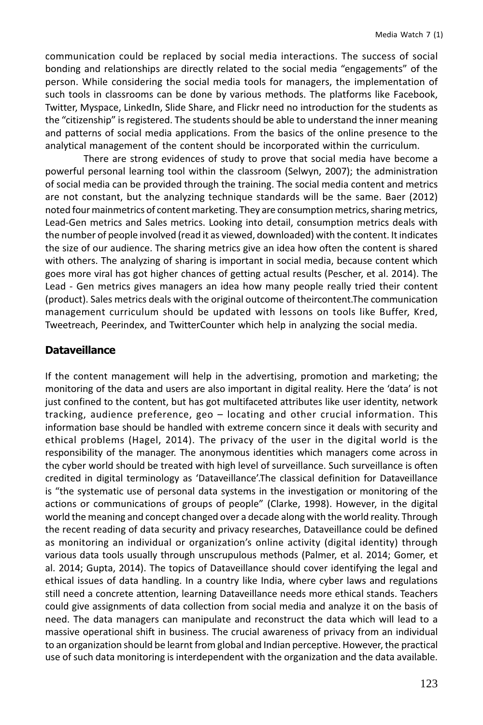communication could be replaced by social media interactions. The success of social bonding and relationships are directly related to the social media "engagements" of the person. While considering the social media tools for managers, the implementation of such tools in classrooms can be done by various methods. The platforms like Facebook, Twitter, Myspace, LinkedIn, Slide Share, and Flickr need no introduction for the students as the "citizenship" is registered. The students should be able to understand the inner meaning and patterns of social media applications. From the basics of the online presence to the analytical management of the content should be incorporated within the curriculum.

There are strong evidences of study to prove that social media have become a powerful personal learning tool within the classroom (Selwyn, 2007); the administration of social media can be provided through the training. The social media content and metrics are not constant, but the analyzing technique standards will be the same. Baer (2012) noted four mainmetrics of content marketing. They are consumption metrics, sharing metrics, Lead-Gen metrics and Sales metrics. Looking into detail, consumption metrics deals with the number of people involved (read it as viewed, downloaded) with the content. It indicates the size of our audience. The sharing metrics give an idea how often the content is shared with others. The analyzing of sharing is important in social media, because content which goes more viral has got higher chances of getting actual results (Pescher, et al. 2014). The Lead - Gen metrics gives managers an idea how many people really tried their content (product). Sales metrics deals with the original outcome of theircontent. The communication management curriculum should be updated with lessons on tools like Buffer, Kred, Tweetreach, Peerindex, and TwitterCounter which help in analyzing the social media.

### **Dataveillance**

If the content management will help in the advertising, promotion and marketing; the monitoring of the data and users are also important in digital reality. Here the 'data' is not just confined to the content, but has got multifaceted attributes like user identity, network tracking, audience preference, geo - locating and other crucial information. This information base should be handled with extreme concern since it deals with security and ethical problems (Hagel, 2014). The privacy of the user in the digital world is the responsibility of the manager. The anonymous identities which managers come across in the cyber world should be treated with high level of surveillance. Such surveillance is often credited in digital terminology as 'Dataveillance'.The classical definition for Dataveillance is "the systematic use of personal data systems in the investigation or monitoring of the actions or communications of groups of people" (Clarke, 1998). However, in the digital world the meaning and concept changed over a decade along with the world reality. Through the recent reading of data security and privacy researches, Dataveillance could be defined as monitoring an individual or organization's online activity (digital identity) through various data tools usually through unscrupulous methods (Palmer, et al. 2014; Gomer, et al. 2014; Gupta, 2014). The topics of Dataveillance should cover identifying the legal and ethical issues of data handling. In a country like India, where cyber laws and regulations still need a concrete attention, learning Dataveillance needs more ethical stands. Teachers could give assignments of data collection from social media and analyze it on the basis of need. The data managers can manipulate and reconstruct the data which will lead to a massive operational shift in business. The crucial awareness of privacy from an individual to an organization should be learnt from global and Indian perceptive. However, the practical use of such data monitoring is interdependent with the organization and the data available.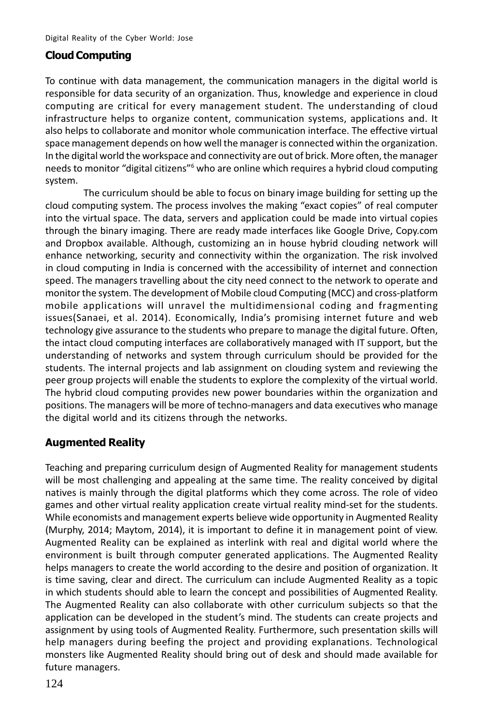## **Cloud Computing**

To continue with data management, the communication managers in the digital world is responsible for data security of an organization. Thus, knowledge and experience in cloud computing are critical for every management student. The understanding of cloud infrastructure helps to organize content, communication systems, applications and. It also helps to collaborate and monitor whole communication interface. The effective virtual space management depends on how well the manager is connected within the organization. In the digital world the workspace and connectivity are out of brick. More often, the manager needs to monitor "digital citizens" who are online which requires a hybrid cloud computing system.

The curriculum should be able to focus on binary image building for setting up the cloud computing system. The process involves the making "exact copies" of real computer into the virtual space. The data, servers and application could be made into virtual copies through the binary imaging. There are ready made interfaces like Google Drive, Copy.com and Dropbox available. Although, customizing an in house hybrid clouding network will enhance networking, security and connectivity within the organization. The risk involved in cloud computing in India is concerned with the accessibility of internet and connection speed. The managers travelling about the city need connect to the network to operate and monitor the system. The development of Mobile cloud Computing (MCC) and cross-platform mobile applications will unravel the multidimensional coding and fragmenting issues(Sanaei, et al. 2014). Economically, India's promising internet future and web technology give assurance to the students who prepare to manage the digital future. Often, the intact cloud computing interfaces are collaboratively managed with IT support, but the understanding of networks and system through curriculum should be provided for the students. The internal projects and lab assignment on clouding system and reviewing the peer group projects will enable the students to explore the complexity of the virtual world. The hybrid cloud computing provides new power boundaries within the organization and positions. The managers will be more of techno-managers and data executives who manage the digital world and its citizens through the networks.

### **Augmented Reality**

Teaching and preparing curriculum design of Augmented Reality for management students will be most challenging and appealing at the same time. The reality conceived by digital natives is mainly through the digital platforms which they come across. The role of video games and other virtual reality application create virtual reality mind-set for the students. While economists and management experts believe wide opportunity in Augmented Reality (Murphy, 2014; Maytom, 2014), it is important to define it in management point of view. Augmented Reality can be explained as interlink with real and digital world where the environment is built through computer generated applications. The Augmented Reality helps managers to create the world according to the desire and position of organization. It is time saving, clear and direct. The curriculum can include Augmented Reality as a topic in which students should able to learn the concept and possibilities of Augmented Reality. The Augmented Reality can also collaborate with other curriculum subjects so that the application can be developed in the student's mind. The students can create projects and assignment by using tools of Augmented Reality. Furthermore, such presentation skills will help managers during beefing the project and providing explanations. Technological monsters like Augmented Reality should bring out of desk and should made available for future managers.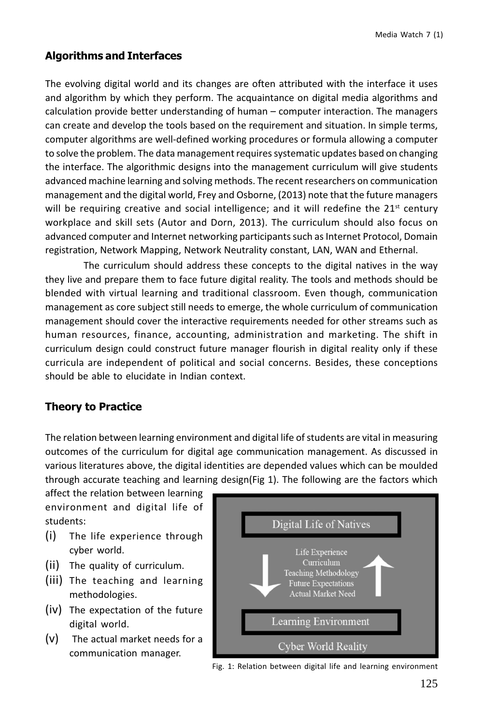# **Algorithms and Interfaces**

The evolving digital world and its changes are often attributed with the interface it uses and algorithm by which they perform. The acquaintance on digital media algorithms and calculation provide better understanding of human – computer interaction. The managers can create and develop the tools based on the requirement and situation. In simple terms, computer algorithms are well-defined working procedures or formula allowing a computer to solve the problem. The data management requires systematic updates based on changing the interface. The algorithmic designs into the management curriculum will give students advanced machine learning and solving methods. The recent researchers on communication management and the digital world, Frey and Osborne, (2013) note that the future managers will be requiring creative and social intelligence; and it will redefine the  $21<sup>st</sup>$  century workplace and skill sets (Autor and Dorn, 2013). The curriculum should also focus on advanced computer and Internet networking participants such as Internet Protocol, Domain registration, Network Mapping, Network Neutrality constant, LAN, WAN and Ethernal.

The curriculum should address these concepts to the digital natives in the way they live and prepare them to face future digital reality. The tools and methods should be blended with virtual learning and traditional classroom. Even though, communication management as core subject still needs to emerge, the whole curriculum of communication management should cover the interactive requirements needed for other streams such as human resources, finance, accounting, administration and marketing. The shift in curriculum design could construct future manager flourish in digital reality only if these curricula are independent of political and social concerns. Besides, these conceptions should be able to elucidate in Indian context.

# **Theory to Practice**

The relation between learning environment and digital life of students are vital in measuring outcomes of the curriculum for digital age communication management. As discussed in various literatures above, the digital identities are depended values which can be moulded through accurate teaching and learning design(Fig 1). The following are the factors which

affect the relation between learning environment and digital life of students:

- $(i)$ The life experience through cyber world.
- (ii) The quality of curriculum.
- (iii) The teaching and learning methodologies.
- (iv) The expectation of the future digital world.
- $(v)$  The actual market needs for a communication manager.



Fig. 1: Relation between digital life and learning environment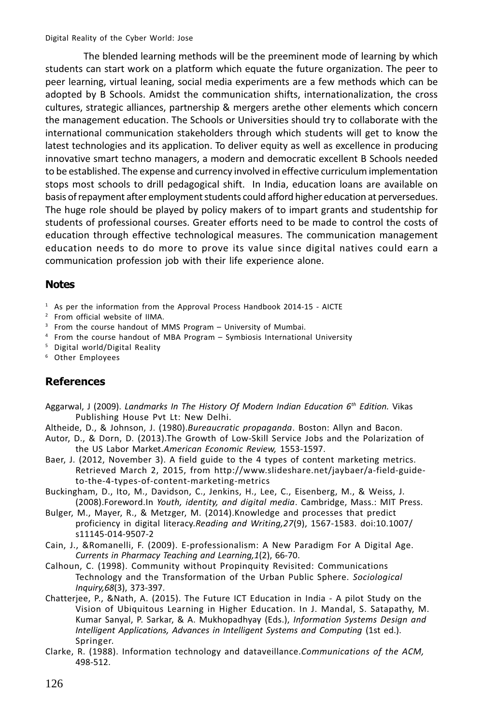The blended learning methods will be the preeminent mode of learning by which students can start work on a platform which equate the future organization. The peer to peer learning, virtual leaning, social media experiments are a few methods which can be adopted by B Schools. Amidst the communication shifts, internationalization, the cross cultures, strategic alliances, partnership & mergers arethe other elements which concern the management education. The Schools or Universities should try to collaborate with the international communication stakeholders through which students will get to know the latest technologies and its application. To deliver equity as well as excellence in producing innovative smart techno managers, a modern and democratic excellent B Schools needed to be established. The expense and currency involved in effective curriculum implementation stops most schools to drill pedagogical shift. In India, education loans are available on basis of repayment after employment students could afford higher education at perversedues. The huge role should be played by policy makers of to impart grants and studentship for students of professional courses. Greater efforts need to be made to control the costs of education through effective technological measures. The communication management education needs to do more to prove its value since digital natives could earn a communication profession job with their life experience alone.

## **Notes**

- $1$  As per the information from the Approval Process Handbook 2014-15 AICTE
- <sup>2</sup> From official website of IIMA.
- <sup>3</sup> From the course handout of MMS Program University of Mumbai.
- <sup>4</sup> From the course handout of MBA Program Symbiosis International University
- <sup>5</sup> Digital world/Digital Reality
- <sup>6</sup> Other Employees

# **References**

- Aggarwal, J (2009). Landmarks In The History Of Modern Indian Education 6<sup>th</sup> Edition. Vikas Publishing House Pvt Lt: New Delhi.
- Altheide, D., & Johnson, J. (1980). Bureaucratic propaganda. Boston: Allyn and Bacon.
- Autor, D., & Dorn, D. (2013). The Growth of Low-Skill Service Jobs and the Polarization of the US Labor Market.American Economic Review, 1553-1597.
- Baer, J. (2012, November 3). A field guide to the 4 types of content marketing metrics. Retrieved March 2, 2015, from http://www.slideshare.net/jaybaer/a-field-guideto-the-4-types-of-content-marketing-metrics
- Buckingham, D., Ito, M., Davidson, C., Jenkins, H., Lee, C., Eisenberg, M., & Weiss, J. (2008).Foreword.In Youth, identity, and digital media. Cambridge, Mass.: MIT Press.
- Bulger, M., Mayer, R., & Metzger, M. (2014). Knowledge and processes that predict proficiency in digital literacy. Reading and Writing, 27(9), 1567-1583. doi:10.1007/ s11145-014-9507-2
- Cain, J., & Romanelli, F. (2009). E-professionalism: A New Paradigm For A Digital Age. Currents in Pharmacy Teaching and Learning, 1(2), 66-70.
- Calhoun, C. (1998). Community without Propinquity Revisited: Communications Technology and the Transformation of the Urban Public Sphere. Sociological Inquiry, 68(3), 373-397.
- Chatterjee, P., &Nath, A. (2015). The Future ICT Education in India A pilot Study on the Vision of Ubiquitous Learning in Higher Education. In J. Mandal, S. Satapathy, M. Kumar Sanyal, P. Sarkar, & A. Mukhopadhyay (Eds.), Information Systems Design and Intelligent Applications, Advances in Intelligent Systems and Computing (1st ed.). Springer.
- Clarke, R. (1988). Information technology and dataveillance.Communications of the ACM, 498-512.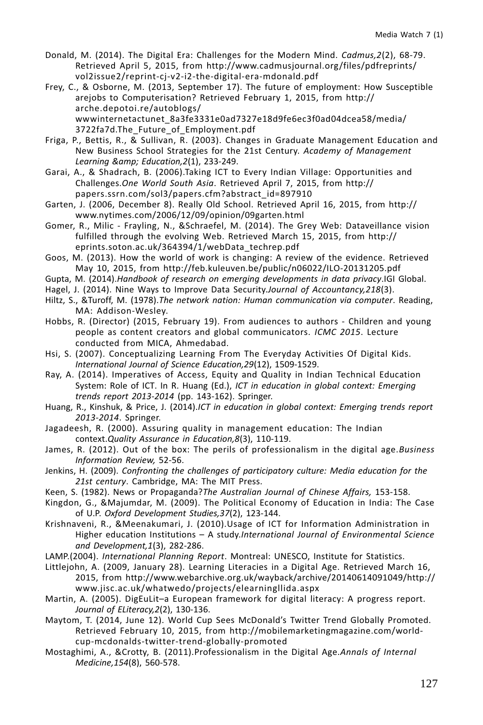- Donald, M. (2014). The Digital Era: Challenges for the Modern Mind. Cadmus, 2(2), 68-79. Retrieved April 5, 2015, from http://www.cadmusjournal.org/files/pdfreprints/ vol2issue2/reprint-cj-v2-i2-the-digital-era-mdonald.pdf
- Frey, C., & Osborne, M. (2013, September 17). The future of employment: How Susceptible arejobs to Computerisation? Retrieved February 1, 2015, from http:// arche.depotoi.re/autoblogs/ wwwinternetactunet 8a3fe3331e0ad7327e18d9fe6ec3f0ad04dcea58/media/ 3722fa7d.The Future of Employment.pdf
- Friga, P., Bettis, R., & Sullivan, R. (2003). Changes in Graduate Management Education and New Business School Strategies for the 21st Century. Academy of Management Learning & Education, 2(1), 233-249.
- Garai, A., & Shadrach, B. (2006). Taking ICT to Every Indian Village: Opportunities and Challenges. One World South Asia. Retrieved April 7, 2015, from http:// papers.ssrn.com/sol3/papers.cfm?abstract\_id=897910
- Garten, J. (2006, December 8). Really Old School. Retrieved April 16, 2015, from http:// www.nytimes.com/2006/12/09/opinion/09garten.html
- Gomer, R., Milic Frayling, N., &Schraefel, M. (2014). The Grey Web: Dataveillance vision fulfilled through the evolving Web. Retrieved March 15, 2015, from http:// eprints.soton.ac.uk/364394/1/webData techrep.pdf
- Goos, M. (2013). How the world of work is changing: A review of the evidence. Retrieved May 10, 2015, from http://feb.kuleuven.be/public/n06022/ILO-20131205.pdf
- Gupta, M. (2014).Handbook of research on emerging developments in data privacy.IGI Global.
- Hagel, J. (2014). Nine Ways to Improve Data Security.Journal of Accountancy, 218(3).
- Hiltz, S., & Turoff, M. (1978). The network nation: Human communication via computer. Reading. MA: Addison-Wesley.
- Hobbs, R. (Director) (2015, February 19). From audiences to authors Children and young people as content creators and global communicators. ICMC 2015. Lecture conducted from MICA. Ahmedabad.
- Hsi, S. (2007). Conceptualizing Learning From The Everyday Activities Of Digital Kids. International Journal of Science Education, 29(12), 1509-1529.
- Ray, A. (2014). Imperatives of Access, Equity and Quality in Indian Technical Education System: Role of ICT. In R. Huang (Ed.), ICT in education in global context: Emerging trends report 2013-2014 (pp. 143-162). Springer.
- Huang, R., Kinshuk, & Price, J. (2014).ICT in education in global context: Emerging trends report 2013-2014. Springer.
- Jagadeesh, R. (2000). Assuring quality in management education: The Indian context. Quality Assurance in Education, 8(3), 110-119.
- James, R. (2012). Out of the box: The perils of professionalism in the digital age. Business Information Review, 52-56.
- Jenkins, H. (2009). Confronting the challenges of participatory culture: Media education for the 21st century. Cambridge, MA: The MIT Press.
- Keen, S. (1982). News or Propaganda? The Australian Journal of Chinese Affairs, 153-158.
- Kingdon, G., & Majumdar, M. (2009). The Political Economy of Education in India: The Case of U.P. Oxford Development Studies, 37(2), 123-144.
- Krishnaveni, R., & Meenakumari, J. (2010). Usage of ICT for Information Administration in Higher education Institutions - A study.International Journal of Environmental Science and Development, 1(3), 282-286.
- LAMP.(2004). International Planning Report. Montreal: UNESCO, Institute for Statistics.
- Littlejohn, A. (2009, January 28). Learning Literacies in a Digital Age. Retrieved March 16, 2015, from http://www.webarchive.org.uk/wayback/archive/20140614091049/http:// www.jisc.ac.uk/whatwedo/projects/elearningllida.aspx
- Martin, A. (2005). DigEuLit-a European framework for digital literacy: A progress report. Journal of ELiteracy, 2(2), 130-136.
- Maytom, T. (2014, June 12). World Cup Sees McDonald's Twitter Trend Globally Promoted. Retrieved February 10, 2015, from http://mobilemarketingmagazine.com/worldcup-mcdonalds-twitter-trend-globally-promoted
- Mostaghimi, A., &Crotty, B. (2011). Professionalism in the Digital Age. Annals of Internal Medicine, 154(8), 560-578.